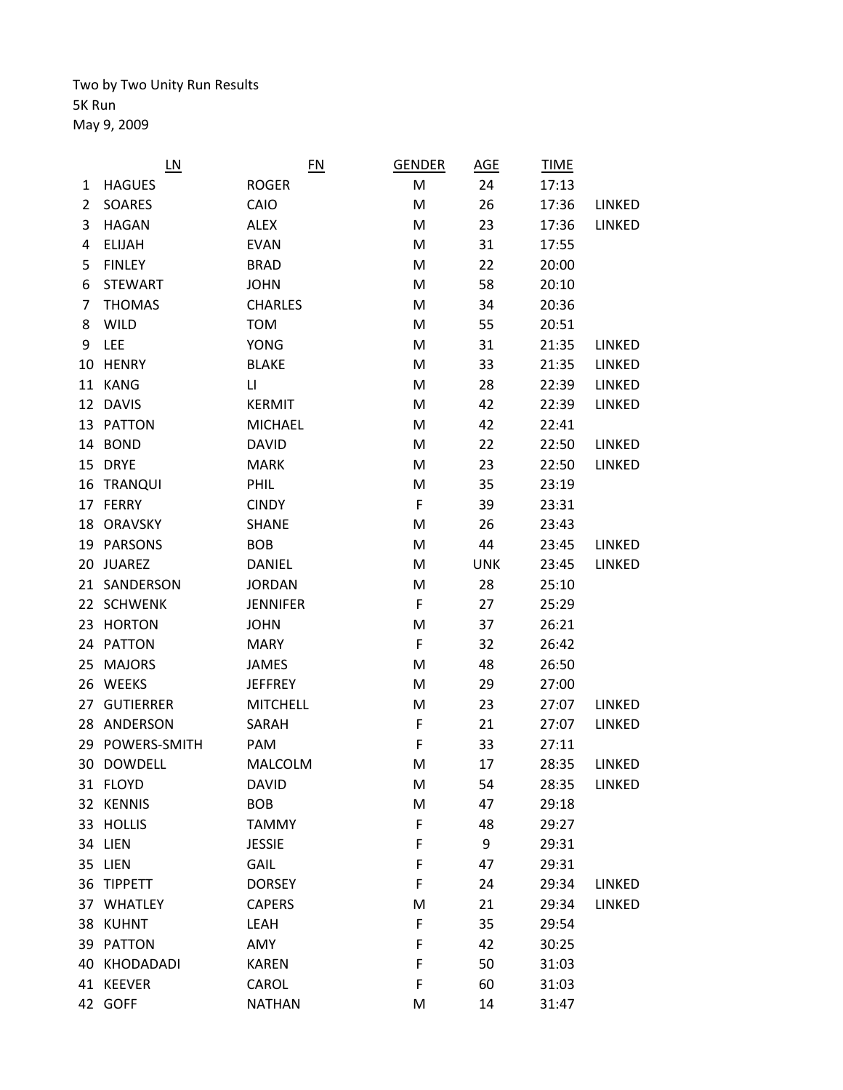Two by Two Unity Run Results 5K Run May 9, 2009

|    | L <sub>N</sub>   | EN                     | <b>GENDER</b> | AGE        | <b>TIME</b> |        |
|----|------------------|------------------------|---------------|------------|-------------|--------|
| 1  | <b>HAGUES</b>    | <b>ROGER</b>           | M             | 24         | 17:13       |        |
| 2  | SOARES           | CAIO                   | M             | 26         | 17:36       | LINKED |
| 3  | <b>HAGAN</b>     | <b>ALEX</b>            | M             | 23         | 17:36       | LINKED |
| 4  | <b>ELIJAH</b>    | <b>EVAN</b>            | M             | 31         | 17:55       |        |
| 5  | <b>FINLEY</b>    | <b>BRAD</b>            | M             | 22         | 20:00       |        |
| 6  | <b>STEWART</b>   | <b>JOHN</b>            | M             | 58         | 20:10       |        |
| 7  | <b>THOMAS</b>    | <b>CHARLES</b>         | M             | 34         | 20:36       |        |
| 8  | <b>WILD</b>      | <b>TOM</b>             | M             | 55         | 20:51       |        |
| 9  | <b>LEE</b>       | <b>YONG</b>            | M             | 31         | 21:35       | LINKED |
| 10 | <b>HENRY</b>     | <b>BLAKE</b>           | M             | 33         | 21:35       | LINKED |
|    | 11 KANG          | $\mathsf{L}\mathsf{L}$ | M             | 28         | 22:39       | LINKED |
| 12 | <b>DAVIS</b>     | <b>KERMIT</b>          | M             | 42         | 22:39       | LINKED |
| 13 | <b>PATTON</b>    | <b>MICHAEL</b>         | M             | 42         | 22:41       |        |
|    | 14 BOND          | <b>DAVID</b>           | M             | 22         | 22:50       | LINKED |
|    | 15 DRYE          | <b>MARK</b>            | M             | 23         | 22:50       | LINKED |
| 16 | <b>TRANQUI</b>   | PHIL                   | M             | 35         | 23:19       |        |
|    | 17 FERRY         | <b>CINDY</b>           | F             | 39         | 23:31       |        |
| 18 | <b>ORAVSKY</b>   | <b>SHANE</b>           | M             | 26         | 23:43       |        |
|    | 19 PARSONS       | <b>BOB</b>             | M             | 44         | 23:45       | LINKED |
| 20 | <b>JUAREZ</b>    | <b>DANIEL</b>          | M             | <b>UNK</b> | 23:45       | LINKED |
|    | 21 SANDERSON     | <b>JORDAN</b>          | M             | 28         | 25:10       |        |
|    | 22 SCHWENK       | <b>JENNIFER</b>        | F             | 27         | 25:29       |        |
| 23 | <b>HORTON</b>    | <b>JOHN</b>            | M             | 37         | 26:21       |        |
|    | 24 PATTON        | <b>MARY</b>            | F             | 32         | 26:42       |        |
| 25 | <b>MAJORS</b>    | <b>JAMES</b>           | M             | 48         | 26:50       |        |
| 26 | <b>WEEKS</b>     | <b>JEFFREY</b>         | M             | 29         | 27:00       |        |
| 27 | <b>GUTIERRER</b> | <b>MITCHELL</b>        | M             | 23         | 27:07       | LINKED |
| 28 | ANDERSON         | SARAH                  | F             | 21         | 27:07       | LINKED |
|    | 29 POWERS-SMITH  | PAM                    | F             | 33         | 27:11       |        |
|    | 30 DOWDELL       | <b>MALCOLM</b>         | M             | 17         | 28:35       | LINKED |
|    | 31 FLOYD         | <b>DAVID</b>           | M             | 54         | 28:35       | LINKED |
|    | 32 KENNIS        | <b>BOB</b>             | M             | 47         | 29:18       |        |
|    | 33 HOLLIS        | <b>TAMMY</b>           | F             | 48         | 29:27       |        |
|    | 34 LIEN          | <b>JESSIE</b>          | F             | 9          | 29:31       |        |
|    | 35 LIEN          | GAIL                   | F             | 47         | 29:31       |        |
|    | 36 TIPPETT       | <b>DORSEY</b>          | F             | 24         | 29:34       | LINKED |
|    | 37 WHATLEY       | <b>CAPERS</b>          | M             | 21         | 29:34       | LINKED |
|    | 38 KUHNT         | LEAH                   | F             | 35         | 29:54       |        |
|    | 39 PATTON        | AMY                    | F             | 42         | 30:25       |        |
|    | 40 KHODADADI     | <b>KAREN</b>           | F             | 50         | 31:03       |        |
|    | 41 KEEVER        | CAROL                  | F             | 60         | 31:03       |        |
|    | 42 GOFF          | <b>NATHAN</b>          | M             | 14         | 31:47       |        |